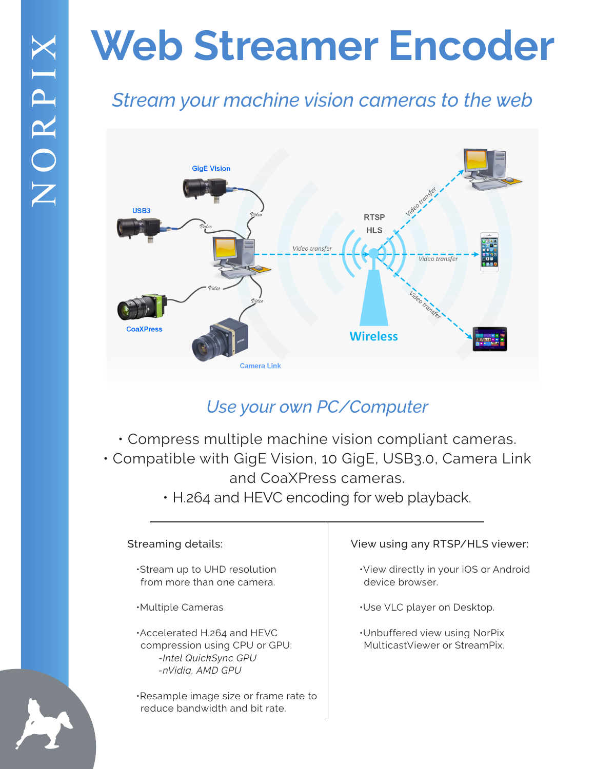## **Web Streamer Encoder**

### *Stream your machine vision cameras to the web*



### *Use your own PC/Computer*

- Compress multiple machine vision compliant cameras. • Compatible with GigE Vision, 10 GigE, USB3.0, Camera Link and CoaXPress cameras.
	- H.264 and HEVC encoding for web playback.

#### Streaming details:

 •Stream up to UHD resolution from more than one camera.

 •Multiple Cameras

 •Accelerated H.264 and HEVC compression using CPU or GPU:  *-Intel QuickSync GPU -nVidia, AMD GPU*

 •Resample image size or frame rate to reduce bandwidth and bit rate.

#### View using any RTSP/HLS viewer:

 •View directly in your iOS or Android device browser.

 •Use VLC player on Desktop.

 •Unbuffered view using NorPix MulticastViewer or StreamPix.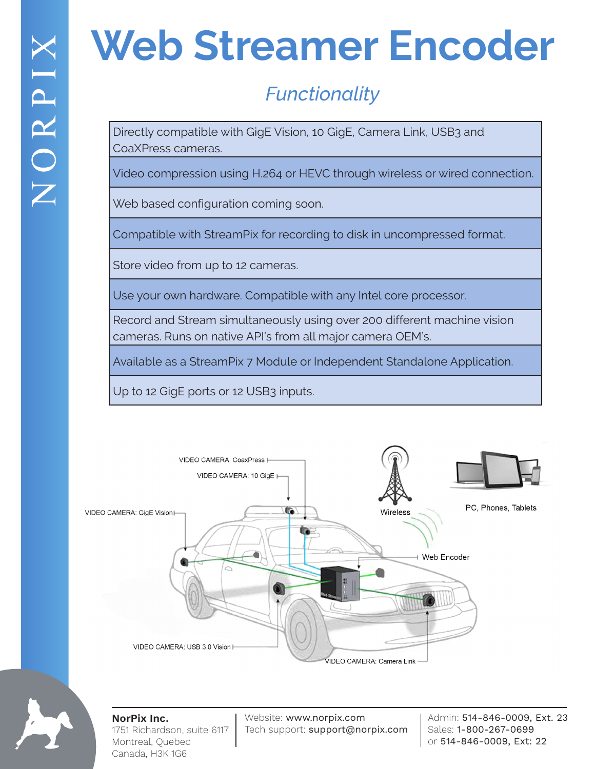## **Web Streamer Encoder**

## *Functionality*

Directly compatible with GigE Vision, 10 GigE, Camera Link, USB3 and CoaXPress cameras.

Video compression using H.264 or HEVC through wireless or wired connection.

Web based configuration coming soon.

Compatible with StreamPix for recording to disk in uncompressed format.

Store video from up to 12 cameras.

Use your own hardware. Compatible with any Intel core processor.

Record and Stream simultaneously using over 200 different machine vision cameras. Runs on native API's from all major camera OEM's.

Available as a StreamPix 7 Module or Independent Standalone Application.

Up to 12 GigE ports or 12 USB3 inputs.





**NorPix Inc.** 1751 Richardson, suite 6117 Montreal, Quebec Canada, H3K 1G6

Website: www.norpix.com Tech support: support@norpix.com

Admin: 514-846-0009, Ext. 23 Sales: 1-800-267-0699 or 514-846-0009, Ext: 22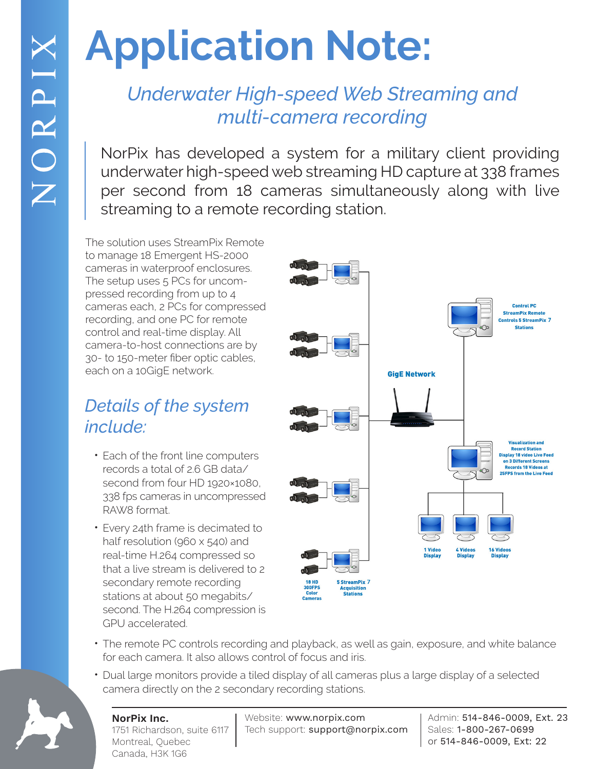# **Application Note:**

### *Underwater High-speed Web Streaming and multi-camera recording*

NorPix has developed a system for a military client providing underwater high-speed web streaming HD capture at 338 frames per second from 18 cameras simultaneously along with live streaming to a remote recording station.

The solution uses StreamPix Remote to manage 18 Emergent HS-2000 cameras in waterproof enclosures. The setup uses 5 PCs for uncompressed recording from up to 4 cameras each, 2 PCs for compressed recording, and one PC for remote control and real-time display. All camera-to-host connections are by 30- to 150-meter fiber optic cables, each on a 10GigE network.

### *Details of the system include:*

- Each of the front line computers records a total of 2.6 GB data/ second from four HD 1920×1080, 338 fps cameras in uncompressed RAW8 format.
- Every 24th frame is decimated to half resolution (960 x 540) and real-time H.264 compressed so that a live stream is delivered to 2 secondary remote recording stations at about 50 megabits/ second. The H.264 compression is GPU accelerated.



- The remote PC controls recording and playback, as well as gain, exposure, and white balance for each camera. It also allows control of focus and iris.
- Dual large monitors provide a tiled display of all cameras plus a large display of a selected camera directly on the 2 secondary recording stations.



#### **NorPix Inc.** 1751 Richardson, suite 6117 Montreal, Quebec Canada, H3K 1G6

Website: www.norpix.com Tech support: support@norpix.com